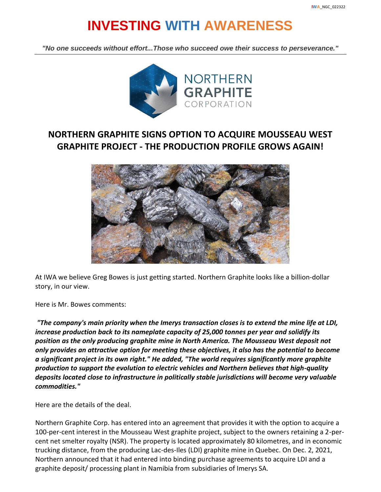# **INVESTING WITH AWARENESS**

*"No one succeeds without effort...Those who succeed owe their success to perseverance."*



## **NORTHERN GRAPHITE SIGNS OPTION TO ACQUIRE MOUSSEAU WEST GRAPHITE PROJECT - THE PRODUCTION PROFILE GROWS AGAIN!**



At IWA we believe Greg Bowes is just getting started. Northern Graphite looks like a billion-dollar story, in our view.

Here is Mr. Bowes comments:

*"The company's main priority when the Imerys transaction closes is to extend the mine life at LDI, increase production back to its nameplate capacity of 25,000 tonnes per year and solidify its position as the only producing graphite mine in North America. The Mousseau West deposit not only provides an attractive option for meeting these objectives, it also has the potential to become a significant project in its own right." He added, "The world requires significantly more graphite production to support the evolution to electric vehicles and Northern believes that high-quality deposits located close to infrastructure in politically stable jurisdictions will become very valuable commodities."*

Here are the details of the deal.

Northern Graphite Corp. has entered into an agreement that provides it with the option to acquire a 100-per-cent interest in the Mousseau West graphite project, subject to the owners retaining a 2-percent net smelter royalty (NSR). The property is located approximately 80 kilometres, and in economic trucking distance, from the producing Lac-des-Iles (LDI) graphite mine in Quebec. On Dec. 2, 2021, Northern announced that it had entered into binding purchase agreements to acquire LDI and a graphite deposit/ processing plant in Namibia from subsidiaries of Imerys SA.